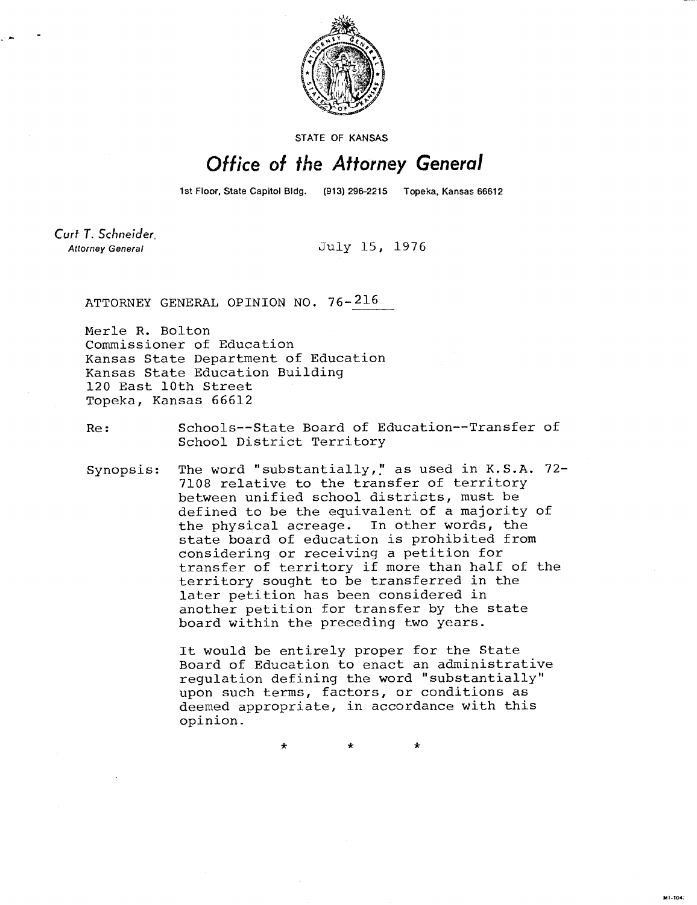

STATE OF KANSAS

## Office of the Attorney General

1st Floor, State Capitol Bldg. (913) 296-2215 Topeka, Kansas 66612

Curt T. Schneider. **Attorney General** 

July 15, 1976

ATTORNEY GENERAL OPINION NO. 76-216

Merle R. Bolton Commissioner of Education Kansas State Department of Education Kansas State Education Building 120 East 10th Street Topeka, Kansas 66612

Re: Schools--State Board of Education--Transfer of School District Territory

Synopsis: The word "substantially," as used in K.S.A. 72-7108 relative to the transfer of territory between unified school districts, must be defined to be the equivalent of a majority of the physical acreage. In other words, the state board of education is prohibited from considering or receiving a petition for transfer of territory if more than half of the territory sought to be transferred in the later petition has been considered in another petition for transfer by the state board within the preceding two years.

> It would be entirely proper for the State Board of Education to enact an administrative regulation defining the word "substantially" upon such terms, factors, or conditions as deemed appropriate, in accordance with this opinion.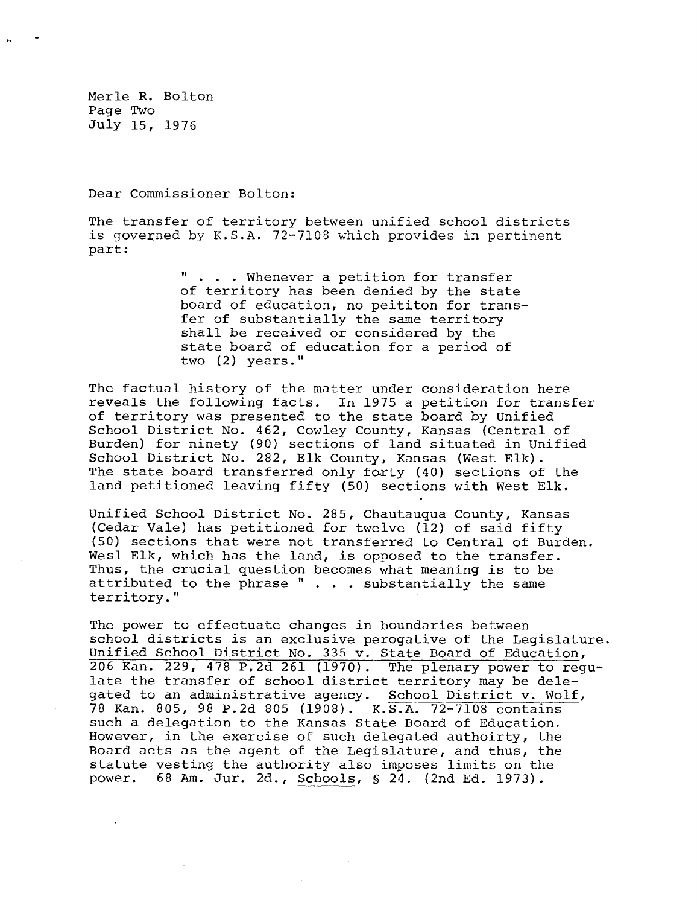Merle R. Bolton Page Two July 15, 1976

Dear Commissioner Bolton:

The transfer of territory between unified school districts is governed by K.S.A. 72-7108 which provides in pertinent part:

> ... Whenever a petition for transfer of territory has been denied by the state board of education, no peititon for transfer of substantially the same territory shall be received or considered by the state board of education for a period of two (2) years."

The factual history of the matter under consideration here reveals the following facts. In 1975 a petition for transfer of territory was presented to the state board by Unified School District No. 462, Cowley County, Kansas (Central of Burden) for ninety (90) sections of land situated in Unified School District No. 282, Elk County, Kansas (West Elk). The state board transferred only forty (40) sections of the land petitioned leaving fifty (50) sections with West Elk.

Unified School District No. 285, Chautauqua County, Kansas (Cedar Vale) has petitioned for twelve (12) of said fifty (50) sections that were not transferred to Central of Burden. Wesl Elk, which has the land, is opposed to the transfer. Thus, the crucial question becomes what meaning is to be attributed to the phrase  $" \cdot \cdot \cdot$  substantially the same territory."

The power to effectuate changes in boundaries between school districts is an exclusive perogative of the Legislature. Unified School District No. 335 v. State Board of Education, 206 Kan. 229, 478 P.2d 261 (1970). The plenary power to regulate the transfer of school district territory may be delegated to an administrative agency. School District v. Wolf, 78 Kan. 805, 98 P.2d 805 (1908). K.S.A. 72-7108 contains such a delegation to the Kansas State Board of Education. However, in the exercise of such delegated authoirty, the Board acts as the agent of the Legislature, and thus, the statute vesting the authority also imposes limits on the power. 68 Am. Jur. 2d., Schools, § 24. (2nd Ed. 1973).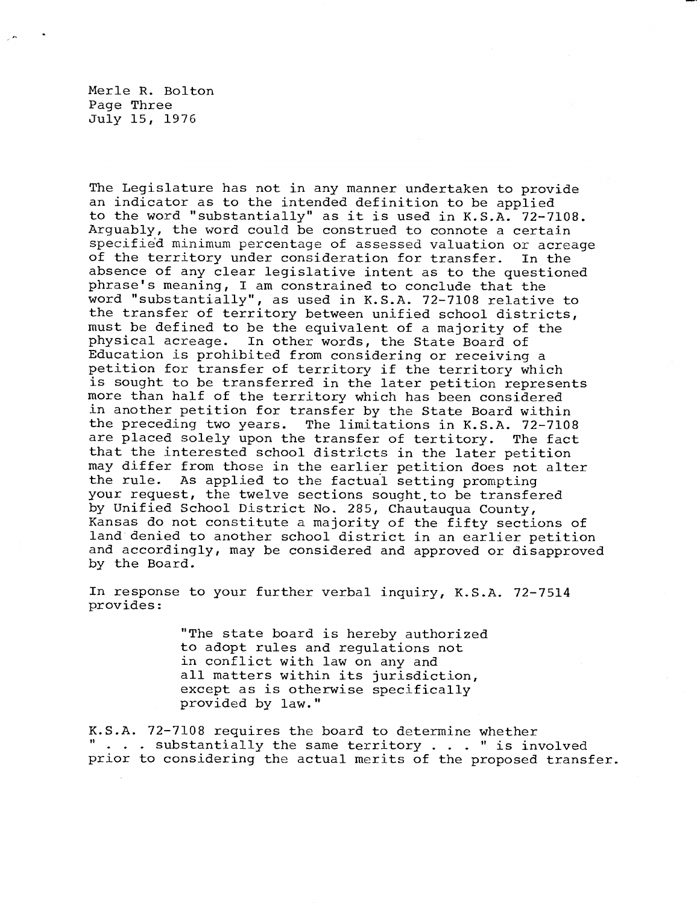Merle R. Bolton Page Three July 15, 1976

The Legislature has not in any manner undertaken to provide an indicator as to the intended definition to be applied to the word "substantially" as it is used in K.S.A. 72-7108. Arguably, the word could be construed to connote a certain specified minimum percentage of assessed valuation or acreage of the territory under consideration for transfer. In the absence of any clear legislative intent as to the questioned phrase's meaning, I am constrained to conclude that the word "substantially", as used in K.S.A. 72-7108 relative to the transfer of territory between unified school districts, must be defined to be the equivalent of a majority of the physical acreage. In other words, the State Board of Education is prohibited from considering or receiving a petition for transfer of territory if the territory which is sought to be transferred in the later petition represents more than half of the territory which has been considered in another petition for transfer by the State Board within the preceding two years. The limitations in K.S.A. 72-7108 are placed solely upon the transfer of tertitory. The fact that the interested school districts in the later petition may differ from those in the earlier petition does not alter the rule. As applied to the factual setting prompting your request, the twelve sections sought to be transfered by Unified School District No. 285, Chautauqua County, Kansas do not constitute a majority of the fifty sections of land denied to another school district in an earlier petition and accordingly, may be considered and approved or disapproved by the Board.

In response to your further verbal inquiry, K.S.A. 72-7514 provides:

> "The state board is hereby authorized to adopt rules and regulations not in conflict with law on any and all matters within its jurisdiction, except as is otherwise specifically provided by law."

K.S.A. 72-7108 requires the board to determine whether " . . . substantially the same territory . . . " is involved prior to considering the actual merits of the proposed transfer.